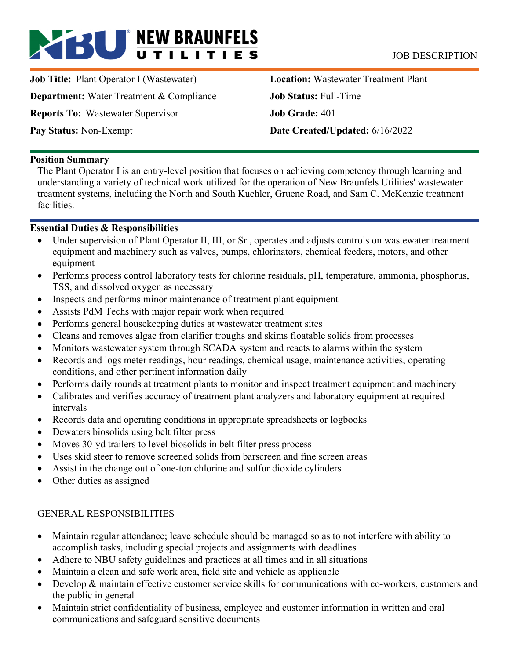# **BU** NEW BRAUNFELS JOB DESCRIPTION

**Job Title: Plant Operator I (Wastewater) Department:** Water Treatment & Compliance **Reports To:** Wastewater Supervisor **Pay Status:** Non-Exempt

**Location:** Wastewater Treatment Plant **Job Status:** Full-Time **Job Grade:** 401 **Date Created/Updated:** 6/16/2022

#### **Position Summary**

The Plant Operator I is an entry-level position that focuses on achieving competency through learning and understanding a variety of technical work utilized for the operation of New Braunfels Utilities' wastewater treatment systems, including the North and South Kuehler, Gruene Road, and Sam C. McKenzie treatment facilities.

### **Essential Duties & Responsibilities**

- Under supervision of Plant Operator II, III, or Sr., operates and adjusts controls on wastewater treatment equipment and machinery such as valves, pumps, chlorinators, chemical feeders, motors, and other equipment
- Performs process control laboratory tests for chlorine residuals, pH, temperature, ammonia, phosphorus, TSS, and dissolved oxygen as necessary
- Inspects and performs minor maintenance of treatment plant equipment
- Assists PdM Techs with major repair work when required
- Performs general housekeeping duties at wastewater treatment sites
- Cleans and removes algae from clarifier troughs and skims floatable solids from processes
- Monitors wastewater system through SCADA system and reacts to alarms within the system
- Records and logs meter readings, hour readings, chemical usage, maintenance activities, operating conditions, and other pertinent information daily
- Performs daily rounds at treatment plants to monitor and inspect treatment equipment and machinery
- Calibrates and verifies accuracy of treatment plant analyzers and laboratory equipment at required intervals
- Records data and operating conditions in appropriate spreadsheets or logbooks
- Dewaters biosolids using belt filter press
- Moves 30-yd trailers to level biosolids in belt filter press process
- Uses skid steer to remove screened solids from barscreen and fine screen areas
- Assist in the change out of one-ton chlorine and sulfur dioxide cylinders
- Other duties as assigned

## GENERAL RESPONSIBILITIES

- Maintain regular attendance; leave schedule should be managed so as to not interfere with ability to accomplish tasks, including special projects and assignments with deadlines
- Adhere to NBU safety guidelines and practices at all times and in all situations
- Maintain a clean and safe work area, field site and vehicle as applicable
- Develop & maintain effective customer service skills for communications with co-workers, customers and the public in general
- Maintain strict confidentiality of business, employee and customer information in written and oral communications and safeguard sensitive documents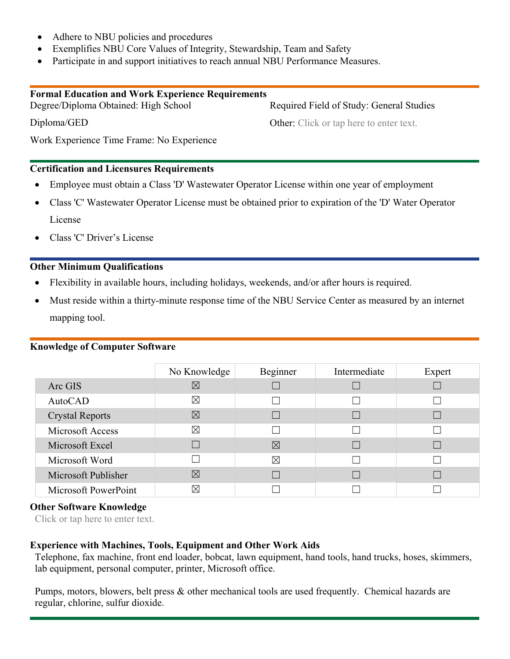- Adhere to NBU policies and procedures
- Exemplifies NBU Core Values of Integrity, Stewardship, Team and Safety
- Participate in and support initiatives to reach annual NBU Performance Measures.

| <b>Formal Education and Work Experience Requirements</b> |                                                |
|----------------------------------------------------------|------------------------------------------------|
| Degree/Diploma Obtained: High School                     | Required Field of Study: General Studies       |
| Diploma/GED                                              | <b>Other:</b> Click or tap here to enter text. |
| Work Experience Time Frame: No Experience                |                                                |

#### **Certification and Licensures Requirements**

- Employee must obtain a Class 'D' Wastewater Operator License within one year of employment
- Class 'C' Wastewater Operator License must be obtained prior to expiration of the 'D' Water Operator License
- Class 'C' Driver's License

#### **Other Minimum Qualifications**

- Flexibility in available hours, including holidays, weekends, and/or after hours is required.
- Must reside within a thirty-minute response time of the NBU Service Center as measured by an internet mapping tool.

#### **Knowledge of Computer Software**

|                        | No Knowledge | Beginner    | Intermediate | Expert |
|------------------------|--------------|-------------|--------------|--------|
| Arc GIS                | $\boxtimes$  |             |              |        |
| AutoCAD                | ⊠            |             |              |        |
| <b>Crystal Reports</b> | $\boxtimes$  |             |              |        |
| Microsoft Access       | ⊠            |             |              |        |
| Microsoft Excel        |              | $\boxtimes$ |              |        |
| Microsoft Word         |              | $\boxtimes$ |              |        |
| Microsoft Publisher    | $\boxtimes$  |             |              |        |
| Microsoft PowerPoint   | IX           |             |              |        |

#### **Other Software Knowledge**

Click or tap here to enter text.

#### **Experience with Machines, Tools, Equipment and Other Work Aids**

Telephone, fax machine, front end loader, bobcat, lawn equipment, hand tools, hand trucks, hoses, skimmers, lab equipment, personal computer, printer, Microsoft office.

Pumps, motors, blowers, belt press & other mechanical tools are used frequently. Chemical hazards are regular, chlorine, sulfur dioxide.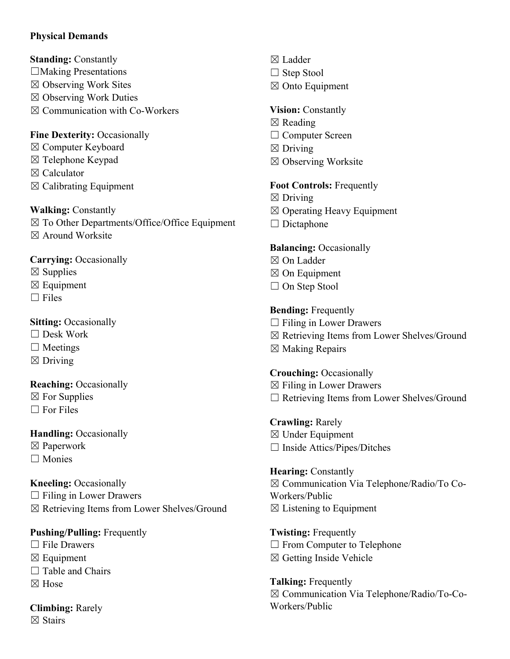## **Physical Demands**

**Standing:** Constantly

- $\Box$ Making Presentations
- ☒ Observing Work Sites
- $\boxtimes$  Observing Work Duties
- $\boxtimes$  Communication with Co-Workers

## **Fine Dexterity:** Occasionally

- ☒ Computer Keyboard
- ☒ Telephone Keypad
- ☒ Calculator
- $\boxtimes$  Calibrating Equipment

**Walking:** Constantly

☒ To Other Departments/Office/Office Equipment ☒ Around Worksite

**Carrying:** Occasionally

- $\boxtimes$  Supplies
- $\boxtimes$  Equipment
- $\Box$  Files

## **Sitting:** Occasionally

- ☐ Desk Work
- $\Box$  Meetings
- $\boxtimes$  Driving

**Reaching:** Occasionally

- $\boxtimes$  For Supplies
- $\Box$  For Files

## **Handling: Occasionally**

- ☒ Paperwork
- ☐ Monies

**Kneeling: Occasionally** 

 $\Box$  Filing in Lower Drawers

☒ Retrieving Items from Lower Shelves/Ground

## **Pushing/Pulling:** Frequently

- $\Box$  File Drawers
- $\boxtimes$  Equipment
- $\Box$  Table and Chairs
- ☒ Hose

**Climbing:** Rarely ☒ Stairs

- ☒ Ladder
- □ Step Stool
- ☒ Onto Equipment

## **Vision:** Constantly

- ☒ Reading
- □ Computer Screen
- $\boxtimes$  Driving
- ☒ Observing Worksite

## **Foot Controls:** Frequently

- $\boxtimes$  Driving
- ☒ Operating Heavy Equipment
- $\Box$  Dictaphone

## **Balancing:** Occasionally

- ☒ On Ladder
- ☒ On Equipment
- □ On Step Stool

## **Bending:** Frequently

- $\Box$  Filing in Lower Drawers
- ☒ Retrieving Items from Lower Shelves/Ground
- ☒ Making Repairs

**Crouching:** Occasionally  $\boxtimes$  Filing in Lower Drawers ☐ Retrieving Items from Lower Shelves/Ground

**Crawling:** Rarely ☒ Under Equipment  $\Box$  Inside Attics/Pipes/Ditches

**Hearing:** Constantly ☒ Communication Via Telephone/Radio/To Co-Workers/Public  $\boxtimes$  Listening to Equipment

**Twisting:** Frequently □ From Computer to Telephone  $\boxtimes$  Getting Inside Vehicle

**Talking:** Frequently ☒ Communication Via Telephone/Radio/To-Co-Workers/Public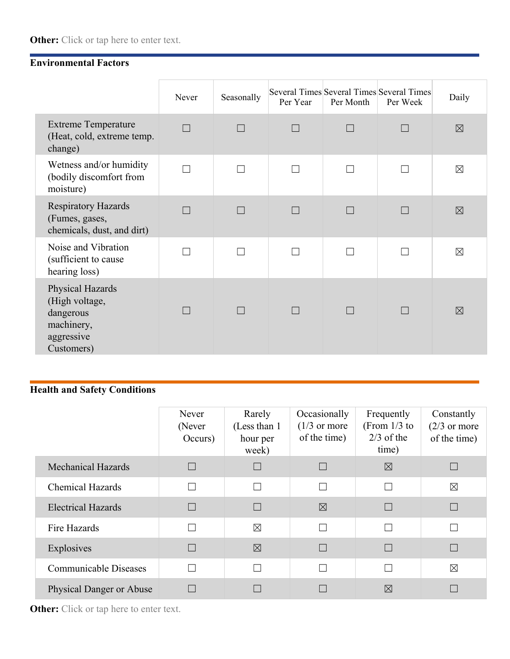## **Environmental Factors**

|                                                                                           | Never | Seasonally | Per Year     | Per Month         | Several Times Several Times Several Times<br>Per Week | Daily       |
|-------------------------------------------------------------------------------------------|-------|------------|--------------|-------------------|-------------------------------------------------------|-------------|
| <b>Extreme Temperature</b><br>(Heat, cold, extreme temp.<br>change)                       |       |            |              |                   |                                                       | $\boxtimes$ |
| Wetness and/or humidity<br>(bodily discomfort from<br>moisture)                           |       |            |              |                   |                                                       | $\boxtimes$ |
| <b>Respiratory Hazards</b><br>(Fumes, gases,<br>chemicals, dust, and dirt)                |       |            |              |                   |                                                       | $\boxtimes$ |
| Noise and Vibration<br>(sufficient to cause<br>hearing loss)                              |       |            |              | $\Box$            |                                                       | $\boxtimes$ |
| Physical Hazards<br>(High voltage,<br>dangerous<br>machinery,<br>aggressive<br>Customers) |       |            | $\mathsf{L}$ | $\vert \ \ \vert$ | $\Box$                                                | $\boxtimes$ |

# **Health and Safety Conditions**

|                                 | Never<br>(Never<br>Occurs) | Rarely<br>(Less than 1)<br>hour per<br>week) | Occasionally<br>$(1/3 \text{ or more})$<br>of the time) | Frequently<br>(From $1/3$ to<br>$2/3$ of the<br>time) | Constantly<br>$(2/3 \text{ or more})$<br>of the time) |
|---------------------------------|----------------------------|----------------------------------------------|---------------------------------------------------------|-------------------------------------------------------|-------------------------------------------------------|
| <b>Mechanical Hazards</b>       |                            |                                              | $\Box$                                                  | $\boxtimes$                                           |                                                       |
| <b>Chemical Hazards</b>         |                            |                                              | П                                                       |                                                       | $\boxtimes$                                           |
| <b>Electrical Hazards</b>       |                            |                                              | $\boxtimes$                                             |                                                       |                                                       |
| Fire Hazards                    |                            | $\boxtimes$                                  | $\Box$                                                  |                                                       |                                                       |
| Explosives                      |                            | $\boxtimes$                                  |                                                         |                                                       |                                                       |
| <b>Communicable Diseases</b>    |                            |                                              | Π                                                       |                                                       | $\boxtimes$                                           |
| <b>Physical Danger or Abuse</b> |                            |                                              |                                                         | $\boxtimes$                                           |                                                       |

**Other:** Click or tap here to enter text.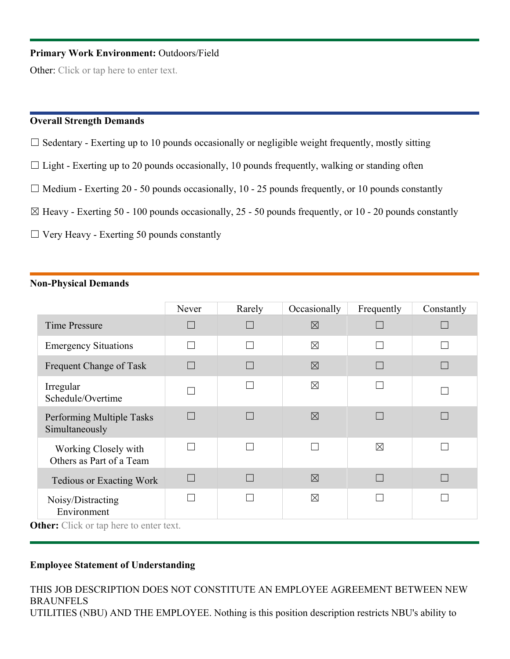### **Primary Work Environment:** Outdoors/Field

Other: Click or tap here to enter text.

#### **Overall Strength Demands**

- $\Box$  Sedentary Exerting up to 10 pounds occasionally or negligible weight frequently, mostly sitting
- $\Box$  Light Exerting up to 20 pounds occasionally, 10 pounds frequently, walking or standing often
- $\Box$  Medium Exerting 20 50 pounds occasionally, 10 25 pounds frequently, or 10 pounds constantly
- $\boxtimes$  Heavy Exerting 50 100 pounds occasionally, 25 50 pounds frequently, or 10 20 pounds constantly
- $\Box$  Very Heavy Exerting 50 pounds constantly

#### **Non-Physical Demands**

|                                                  | Never  | Rarely | Occasionally | Frequently   | Constantly |
|--------------------------------------------------|--------|--------|--------------|--------------|------------|
| <b>Time Pressure</b>                             | H      |        | $\boxtimes$  |              |            |
| <b>Emergency Situations</b>                      |        |        | $\boxtimes$  |              |            |
| Frequent Change of Task                          | $\Box$ |        | $\boxtimes$  |              |            |
| Irregular<br>Schedule/Overtime                   |        |        | $\times$     |              |            |
| Performing Multiple Tasks<br>Simultaneously      | H      |        | $\boxtimes$  |              |            |
| Working Closely with<br>Others as Part of a Team |        |        |              | $\boxtimes$  |            |
| <b>Tedious or Exacting Work</b>                  | $\Box$ |        | $\boxtimes$  | $\mathbf{L}$ |            |
| Noisy/Distracting<br>Environment<br>-----        |        |        | $\times$     |              |            |

**Other:** Click or tap here to enter text.

### **Employee Statement of Understanding**

THIS JOB DESCRIPTION DOES NOT CONSTITUTE AN EMPLOYEE AGREEMENT BETWEEN NEW BRAUNFELS UTILITIES (NBU) AND THE EMPLOYEE. Nothing is this position description restricts NBU's ability to